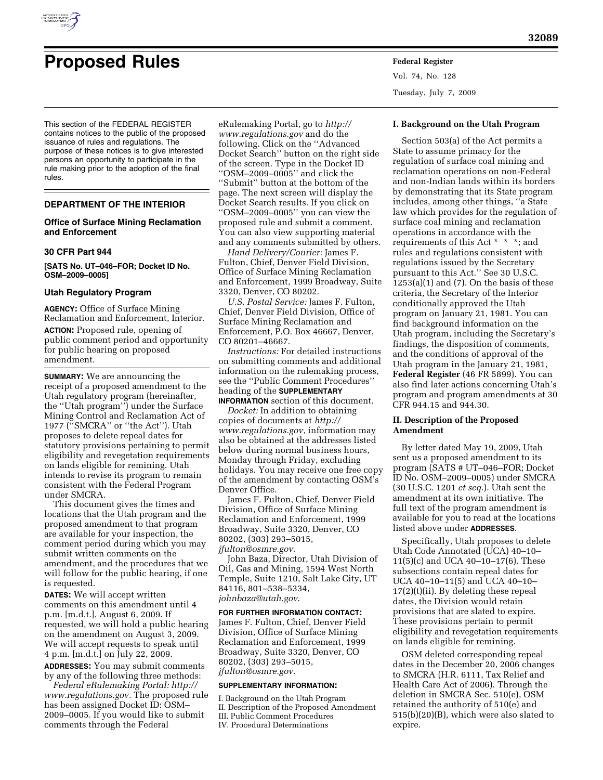

# **Proposed Rules Federal Register**

This section of the FEDERAL REGISTER contains notices to the public of the proposed issuance of rules and regulations. The purpose of these notices is to give interested persons an opportunity to participate in the rule making prior to the adoption of the final rules.

### **DEPARTMENT OF THE INTERIOR**

## **Office of Surface Mining Reclamation and Enforcement**

#### **30 CFR Part 944**

**[SATS No. UT–046–FOR; Docket ID No. OSM–2009–0005]** 

## **Utah Regulatory Program**

**AGENCY:** Office of Surface Mining Reclamation and Enforcement, Interior. **ACTION:** Proposed rule, opening of public comment period and opportunity for public hearing on proposed amendment.

**SUMMARY:** We are announcing the receipt of a proposed amendment to the Utah regulatory program (hereinafter, the ''Utah program'') under the Surface Mining Control and Reclamation Act of 1977 (''SMCRA'' or ''the Act''). Utah proposes to delete repeal dates for statutory provisions pertaining to permit eligibility and revegetation requirements on lands eligible for remining. Utah intends to revise its program to remain consistent with the Federal Program under SMCRA.

This document gives the times and locations that the Utah program and the proposed amendment to that program are available for your inspection, the comment period during which you may submit written comments on the amendment, and the procedures that we will follow for the public hearing, if one is requested.

**DATES:** We will accept written comments on this amendment until 4 p.m. [m.d.t.], August 6, 2009. If requested, we will hold a public hearing on the amendment on August 3, 2009. We will accept requests to speak until 4 p.m. [m.d.t.] on July 22, 2009.

**ADDRESSES:** You may submit comments by any of the following three methods:

*Federal eRulemaking Portal: http:// www.regulations.gov.* The proposed rule has been assigned Docket ID: OSM– 2009–0005. If you would like to submit comments through the Federal

eRulemaking Portal, go to *http:// www.regulations.gov* and do the following. Click on the ''Advanced Docket Search'' button on the right side of the screen. Type in the Docket ID ''OSM–2009–0005'' and click the ''Submit'' button at the bottom of the page. The next screen will display the Docket Search results. If you click on ''OSM–2009–0005'' you can view the proposed rule and submit a comment. You can also view supporting material and any comments submitted by others.

*Hand Delivery/Courier:* James F. Fulton, Chief, Denver Field Division, Office of Surface Mining Reclamation and Enforcement, 1999 Broadway, Suite 3320, Denver, CO 80202.

*U.S. Postal Service:* James F. Fulton, Chief, Denver Field Division, Office of Surface Mining Reclamation and Enforcement, P.O. Box 46667, Denver, CO 80201–46667.

*Instructions:* For detailed instructions on submitting comments and additional information on the rulemaking process, see the ''Public Comment Procedures'' heading of the **SUPPLEMENTARY**

**INFORMATION** section of this document.

*Docket:* In addition to obtaining copies of documents at *http:// www.regulations.gov,* information may also be obtained at the addresses listed below during normal business hours, Monday through Friday, excluding holidays. You may receive one free copy of the amendment by contacting OSM's Denver Office.

James F. Fulton, Chief, Denver Field Division, Office of Surface Mining Reclamation and Enforcement, 1999 Broadway, Suite 3320, Denver, CO 80202, (303) 293–5015, *jfulton@osmre.gov*.

John Baza, Director, Utah Division of Oil, Gas and Mining, 1594 West North Temple, Suite 1210, Salt Lake City, UT 84116, 801–538–5334, *johnbaza@utah.gov*.

#### **FOR FURTHER INFORMATION CONTACT:**

James F. Fulton, Chief, Denver Field Division, Office of Surface Mining Reclamation and Enforcement, 1999 Broadway, Suite 3320, Denver, CO 80202, (303) 293–5015, *jfulton@osmre.gov*.

#### **SUPPLEMENTARY INFORMATION:**

I. Background on the Utah Program II. Description of the Proposed Amendment III. Public Comment Procedures IV. Procedural Determinations

#### **I. Background on the Utah Program**

Vol. 74, No. 128 Tuesday, July 7, 2009

Section 503(a) of the Act permits a State to assume primacy for the regulation of surface coal mining and reclamation operations on non-Federal and non-Indian lands within its borders by demonstrating that its State program includes, among other things, ''a State law which provides for the regulation of surface coal mining and reclamation operations in accordance with the requirements of this Act \* \* \*; and rules and regulations consistent with regulations issued by the Secretary pursuant to this Act.'' See 30 U.S.C.  $1253(a)(1)$  and  $(7)$ . On the basis of these criteria, the Secretary of the Interior conditionally approved the Utah program on January 21, 1981. You can find background information on the Utah program, including the Secretary's findings, the disposition of comments, and the conditions of approval of the Utah program in the January 21, 1981, **Federal Register** (46 FR 5899). You can also find later actions concerning Utah's program and program amendments at 30 CFR 944.15 and 944.30.

## **II. Description of the Proposed Amendment**

By letter dated May 19, 2009, Utah sent us a proposed amendment to its program (SATS # UT–046–FOR; Docket ID No. OSM–2009–0005) under SMCRA (30 U.S.C. 1201 *et seq.*). Utah sent the amendment at its own initiative. The full text of the program amendment is available for you to read at the locations listed above under **ADDRESSES**.

Specifically, Utah proposes to delete Utah Code Annotated (UCA) 40–10– 11(5)(c) and UCA 40–10–17(6). These subsections contain repeal dates for UCA 40–10–11(5) and UCA 40–10– 17(2)(t)(ii). By deleting these repeal dates, the Division would retain provisions that are slated to expire. These provisions pertain to permit eligibility and revegetation requirements on lands eligible for remining.

OSM deleted corresponding repeal dates in the December 20, 2006 changes to SMCRA (H.R. 6111, Tax Relief and Health Care Act of 2006). Through the deletion in SMCRA Sec. 510(e), OSM retained the authority of 510(e) and 515(b)(20)(B), which were also slated to expire.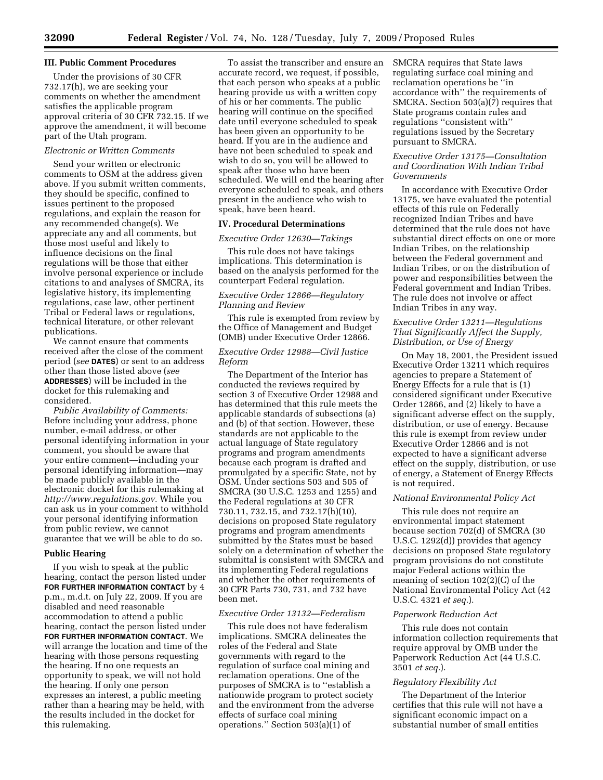### **III. Public Comment Procedures**

Under the provisions of 30 CFR 732.17(h), we are seeking your comments on whether the amendment satisfies the applicable program approval criteria of 30 CFR 732.15. If we approve the amendment, it will become part of the Utah program.

## *Electronic or Written Comments*

Send your written or electronic comments to OSM at the address given above. If you submit written comments, they should be specific, confined to issues pertinent to the proposed regulations, and explain the reason for any recommended change(s). We appreciate any and all comments, but those most useful and likely to influence decisions on the final regulations will be those that either involve personal experience or include citations to and analyses of SMCRA, its legislative history, its implementing regulations, case law, other pertinent Tribal or Federal laws or regulations, technical literature, or other relevant publications.

We cannot ensure that comments received after the close of the comment period (*see* **DATES**) or sent to an address other than those listed above (*see*  **ADDRESSES**) will be included in the docket for this rulemaking and considered.

*Public Availability of Comments:*  Before including your address, phone number, e-mail address, or other personal identifying information in your comment, you should be aware that your entire comment—including your personal identifying information—may be made publicly available in the electronic docket for this rulemaking at *http://www.regulations.gov.* While you can ask us in your comment to withhold your personal identifying information from public review, we cannot guarantee that we will be able to do so.

### **Public Hearing**

If you wish to speak at the public hearing, contact the person listed under **FOR FURTHER INFORMATION CONTACT** by 4 p.m., m.d.t. on July 22, 2009. If you are disabled and need reasonable accommodation to attend a public hearing, contact the person listed under **FOR FURTHER INFORMATION CONTACT**. We will arrange the location and time of the hearing with those persons requesting the hearing. If no one requests an opportunity to speak, we will not hold the hearing. If only one person expresses an interest, a public meeting rather than a hearing may be held, with the results included in the docket for this rulemaking.

To assist the transcriber and ensure an accurate record, we request, if possible, that each person who speaks at a public hearing provide us with a written copy of his or her comments. The public hearing will continue on the specified date until everyone scheduled to speak has been given an opportunity to be heard. If you are in the audience and have not been scheduled to speak and wish to do so, you will be allowed to speak after those who have been scheduled. We will end the hearing after everyone scheduled to speak, and others present in the audience who wish to speak, have been heard.

#### **IV. Procedural Determinations**

#### *Executive Order 12630—Takings*

This rule does not have takings implications. This determination is based on the analysis performed for the counterpart Federal regulation.

## *Executive Order 12866—Regulatory Planning and Review*

This rule is exempted from review by the Office of Management and Budget (OMB) under Executive Order 12866.

## *Executive Order 12988—Civil Justice Reform*

The Department of the Interior has conducted the reviews required by section 3 of Executive Order 12988 and has determined that this rule meets the applicable standards of subsections (a) and (b) of that section. However, these standards are not applicable to the actual language of State regulatory programs and program amendments because each program is drafted and promulgated by a specific State, not by OSM. Under sections 503 and 505 of SMCRA (30 U.S.C. 1253 and 1255) and the Federal regulations at 30 CFR 730.11, 732.15, and 732.17(h)(10), decisions on proposed State regulatory programs and program amendments submitted by the States must be based solely on a determination of whether the submittal is consistent with SMCRA and its implementing Federal regulations and whether the other requirements of 30 CFR Parts 730, 731, and 732 have been met.

#### *Executive Order 13132—Federalism*

This rule does not have federalism implications. SMCRA delineates the roles of the Federal and State governments with regard to the regulation of surface coal mining and reclamation operations. One of the purposes of SMCRA is to ''establish a nationwide program to protect society and the environment from the adverse effects of surface coal mining operations.'' Section 503(a)(1) of

SMCRA requires that State laws regulating surface coal mining and reclamation operations be ''in accordance with'' the requirements of SMCRA. Section 503(a)(7) requires that State programs contain rules and regulations ''consistent with'' regulations issued by the Secretary pursuant to SMCRA.

## *Executive Order 13175—Consultation and Coordination With Indian Tribal Governments*

In accordance with Executive Order 13175, we have evaluated the potential effects of this rule on Federally recognized Indian Tribes and have determined that the rule does not have substantial direct effects on one or more Indian Tribes, on the relationship between the Federal government and Indian Tribes, or on the distribution of power and responsibilities between the Federal government and Indian Tribes. The rule does not involve or affect Indian Tribes in any way.

## *Executive Order 13211—Regulations That Significantly Affect the Supply, Distribution, or Use of Energy*

On May 18, 2001, the President issued Executive Order 13211 which requires agencies to prepare a Statement of Energy Effects for a rule that is (1) considered significant under Executive Order 12866, and (2) likely to have a significant adverse effect on the supply, distribution, or use of energy. Because this rule is exempt from review under Executive Order 12866 and is not expected to have a significant adverse effect on the supply, distribution, or use of energy, a Statement of Energy Effects is not required.

#### *National Environmental Policy Act*

This rule does not require an environmental impact statement because section 702(d) of SMCRA (30 U.S.C. 1292(d)) provides that agency decisions on proposed State regulatory program provisions do not constitute major Federal actions within the meaning of section 102(2)(C) of the National Environmental Policy Act (42 U.S.C. 4321 *et seq.*).

#### *Paperwork Reduction Act*

This rule does not contain information collection requirements that require approval by OMB under the Paperwork Reduction Act (44 U.S.C. 3501 *et seq.*).

## *Regulatory Flexibility Act*

The Department of the Interior certifies that this rule will not have a significant economic impact on a substantial number of small entities